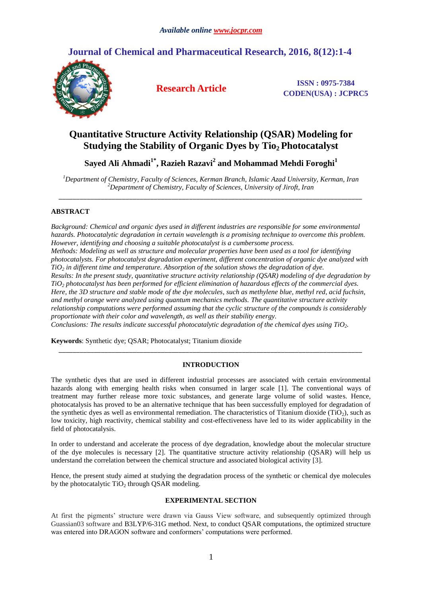# **Journal of Chemical and Pharmaceutical Research, 2016, 8(12):1-4**



**Research Article ISSN : 0975-7384 CODEN(USA) : JCPRC5**

# **Quantitative Structure Activity Relationship (QSAR) Modeling for Studying the Stability of Organic Dyes by Tio2 Photocatalyst**

**Sayed Ali Ahmadi1\*, Razieh Razavi<sup>2</sup> and Mohammad Mehdi Foroghi<sup>1</sup>**

*<sup>1</sup>Department of Chemistry, Faculty of Sciences, Kerman Branch, Islamic Azad University, Kerman, Iran <sup>2</sup>Department of Chemistry, Faculty of Sciences, University of Jiroft, Iran \_\_\_\_\_\_\_\_\_\_\_\_\_\_\_\_\_\_\_\_\_\_\_\_\_\_\_\_\_\_\_\_\_\_\_\_\_\_\_\_\_\_\_\_\_\_\_\_\_\_\_\_\_\_\_\_\_\_\_\_\_\_\_\_\_\_\_\_\_\_\_\_\_\_\_\_\_\_\_\_\_\_\_\_\_\_*

# **ABSTRACT**

*Background: Chemical and organic dyes used in different industries are responsible for some environmental hazards. Photocatalytic degradation in certain wavelength is a promising technique to overcome this problem. However, identifying and choosing a suitable photocatalyst is a cumbersome process. Methods: Modeling as well as structure and molecular properties have been used as a tool for identifying photocatalysts. For photocatalyst degradation experiment, different concentration of organic dye analyzed with TiO<sup>2</sup> in different time and temperature. Absorption of the solution shows the degradation of dye. Results: In the present study, quantitative structure activity relationship (QSAR) modeling of dye degradation by TiO<sup>2</sup> photocatalyst has been performed for efficient elimination of hazardous effects of the commercial dyes. Here, the 3D structure and stable mode of the dye molecules, such as methylene blue, methyl red, acid fuchsin, and methyl orange were analyzed using quantum mechanics methods. The quantitative structure activity relationship computations were performed assuming that the cyclic structure of the compounds is considerably proportionate with their color and wavelength, as well as their stability energy. Conclusions: The results indicate successful photocatalytic degradation of the chemical dyes using TiO2.* 

**Keywords**: Synthetic dye; QSAR; Photocatalyst; Titanium dioxide

# **INTRODUCTION**

*\_\_\_\_\_\_\_\_\_\_\_\_\_\_\_\_\_\_\_\_\_\_\_\_\_\_\_\_\_\_\_\_\_\_\_\_\_\_\_\_\_\_\_\_\_\_\_\_\_\_\_\_\_\_\_\_\_\_\_\_\_\_\_\_\_\_\_\_\_\_\_\_\_\_\_\_\_\_\_\_\_\_\_\_\_\_*

The synthetic dyes that are used in different industrial processes are associated with certain environmental hazards along with emerging health risks when consumed in larger scale [1]. The conventional ways of treatment may further release more toxic substances, and generate large volume of solid wastes. Hence, photocatalysis has proved to be an alternative technique that has been successfully employed for degradation of the synthetic dyes as well as environmental remediation. The characteristics of Titanium dioxide (TiO<sub>2</sub>), such as low toxicity, high reactivity, chemical stability and cost-effectiveness have led to its wider applicability in the field of photocatalysis.

In order to understand and accelerate the process of dye degradation, knowledge about the molecular structure of the dye molecules is necessary [2]. The quantitative structure activity relationship (QSAR) will help us understand the correlation between the chemical structure and associated biological activity [3].

Hence, the present study aimed at studying the degradation process of the synthetic or chemical dye molecules by the photocatalytic  $TiO<sub>2</sub>$  through QSAR modeling.

## **EXPERIMENTAL SECTION**

At first the pigments' structure were drawn via Gauss View software, and subsequently optimized through Guassian03 software and B3LYP/6-31G method. Next, to conduct QSAR computations, the optimized structure was entered into DRAGON software and conformers' computations were performed.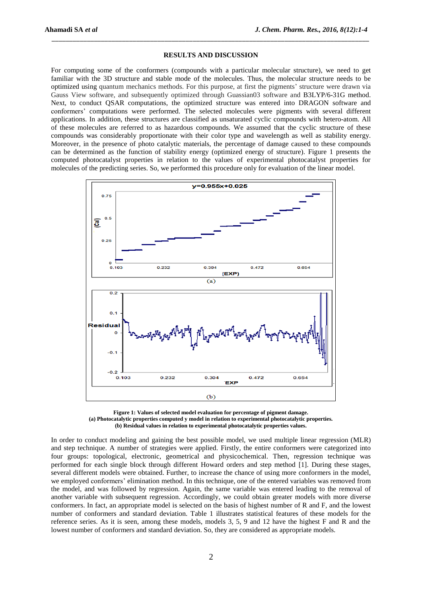#### **RESULTS AND DISCUSSION**

*\_\_\_\_\_\_\_\_\_\_\_\_\_\_\_\_\_\_\_\_\_\_\_\_\_\_\_\_\_\_\_\_\_\_\_\_\_\_\_\_\_\_\_\_\_\_\_\_\_\_\_\_\_\_\_\_\_\_\_\_\_\_\_\_\_\_\_\_\_\_\_\_\_\_\_\_\_\_\_\_\_\_\_\_\_\_\_\_\_\_*

For computing some of the conformers (compounds with a particular molecular structure), we need to get familiar with the 3D structure and stable mode of the molecules. Thus, the molecular structure needs to be optimized using quantum mechanics methods. For this purpose, at first the pigments' structure were drawn via Gauss View software, and subsequently optimized through Guassian03 software and B3LYP/6-31G method. Next, to conduct QSAR computations, the optimized structure was entered into DRAGON software and conformers' computations were performed. The selected molecules were pigments with several different applications. In addition, these structures are classified as unsaturated cyclic compounds with hetero-atom. All of these molecules are referred to as hazardous compounds. We assumed that the cyclic structure of these compounds was considerably proportionate with their color type and wavelength as well as stability energy. Moreover, in the presence of photo catalytic materials, the percentage of damage caused to these compounds can be determined as the function of stability energy (optimized energy of structure). Figure 1 presents the computed photocatalyst properties in relation to the values of experimental photocatalyst properties for molecules of the predicting series. So, we performed this procedure only for evaluation of the linear model.



**Figure 1: Values of selected model evaluation for percentage of pigment damage. (a) Photocatalytic properties computed y model in relation to experimental photocatalytic properties. (b) Residual values in relation to experimental photocatalytic properties values.**

In order to conduct modeling and gaining the best possible model, we used multiple linear regression (MLR) and step technique. A number of strategies were applied. Firstly, the entire conformers were categorized into four groups: topological, electronic, geometrical and physicochemical. Then, regression technique was performed for each single block through different Howard orders and step method [1]. During these stages, several different models were obtained. Further, to increase the chance of using more conformers in the model, we employed conformers' elimination method. In this technique, one of the entered variables was removed from the model, and was followed by regression. Again, the same variable was entered leading to the removal of another variable with subsequent regression. Accordingly, we could obtain greater models with more diverse conformers. In fact, an appropriate model is selected on the basis of highest number of R and F, and the lowest number of conformers and standard deviation. Table 1 illustrates statistical features of these models for the reference series. As it is seen, among these models, models 3, 5, 9 and 12 have the highest F and R and the lowest number of conformers and standard deviation. So, they are considered as appropriate models.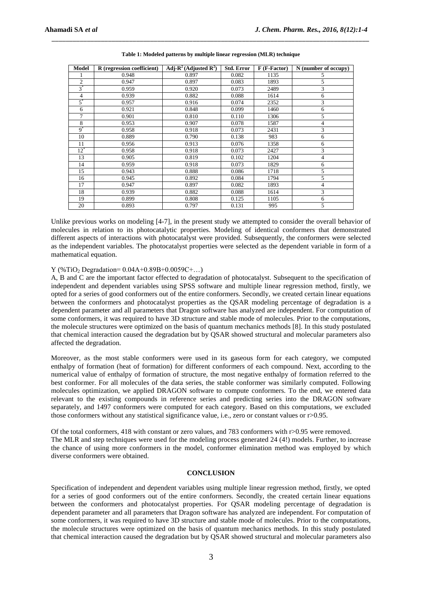| <b>Model</b>   | R (regression coefficient) | Adj- $R^2$ (Adjusted $R^2$ ) | <b>Std. Error</b> | F (F-Factor) | N (number of occupy) |
|----------------|----------------------------|------------------------------|-------------------|--------------|----------------------|
|                | 0.948                      | 0.897                        | 0.082             | 1135         | 5                    |
| $\overline{c}$ | 0.947                      | 0.897                        | 0.083             | 1893         | 5                    |
| $3^*$          | 0.959                      | 0.920                        | 0.073             | 2489         | 3                    |
| 4              | 0.939                      | 0.882                        | 0.088             | 1614         | 6                    |
| $5^*$          | 0.957                      | 0.916                        | 0.074             | 2352         | 3                    |
| 6              | 0.921                      | 0.848                        | 0.099             | 1460         | 6                    |
| 7              | 0.901                      | 0.810                        | 0.110             | 1306         | 5                    |
| 8              | 0.953                      | 0.907                        | 0.078             | 1587         | 4                    |
| $9^*$          | 0.958                      | 0.918                        | 0.073             | 2431         | 3                    |
| 10             | 0.889                      | 0.790                        | 0.138             | 983          | 6                    |
| 11             | 0.956                      | 0.913                        | 0.076             | 1358         | 6                    |
| $12^*$         | 0.958                      | 0.918                        | 0.073             | 2427         | 3                    |
| 13             | 0.905                      | 0.819                        | 0.102             | 1204         | $\overline{4}$       |
| 14             | 0.959                      | 0.918                        | 0.073             | 1829         | 6                    |
| 15             | 0.943                      | 0.888                        | 0.086             | 1718         | 5                    |
| 16             | 0.945                      | 0.892                        | 0.084             | 1794         | 5                    |
| 17             | 0.947                      | 0.897                        | 0.082             | 1893         | $\overline{4}$       |
| 18             | 0.939                      | 0.882                        | 0.088             | 1614         | 3                    |
| 19             | 0.899                      | 0.808                        | 0.125             | 1105         | 6                    |
| 20             | 0.893                      | 0.797                        | 0.131             | 995          | 5                    |

**Table 1: Modeled patterns by multiple linear regression (MLR) technique**

*\_\_\_\_\_\_\_\_\_\_\_\_\_\_\_\_\_\_\_\_\_\_\_\_\_\_\_\_\_\_\_\_\_\_\_\_\_\_\_\_\_\_\_\_\_\_\_\_\_\_\_\_\_\_\_\_\_\_\_\_\_\_\_\_\_\_\_\_\_\_\_\_\_\_\_\_\_\_\_\_\_\_\_\_\_\_\_\_\_\_*

Unlike previous works on modeling [4-7], in the present study we attempted to consider the overall behavior of molecules in relation to its photocatalytic properties. Modeling of identical conformers that demonstrated different aspects of interactions with photocatalyst were provided. Subsequently, the conformers were selected as the independent variables. The photocatalyst properties were selected as the dependent variable in form of a mathematical equation.

### Y (%TiO<sub>2</sub> Degradation=  $0.04A+0.89B+0.0059C+...$ )

A, B and C are the important factor effected to degradation of photocatalyst. Subsequent to the specification of independent and dependent variables using SPSS software and multiple linear regression method, firstly, we opted for a series of good conformers out of the entire conformers. Secondly, we created certain linear equations between the conformers and photocatalyst properties as the QSAR modeling percentage of degradation is a dependent parameter and all parameters that Dragon software has analyzed are independent. For computation of some conformers, it was required to have 3D structure and stable mode of molecules. Prior to the computations, the molecule structures were optimized on the basis of quantum mechanics methods [8]. In this study postulated that chemical interaction caused the degradation but by QSAR showed structural and molecular parameters also affected the degradation.

Moreover, as the most stable conformers were used in its gaseous form for each category, we computed enthalpy of formation (heat of formation) for different conformers of each compound. Next, according to the numerical value of enthalpy of formation of structure, the most negative enthalpy of formation referred to the best conformer. For all molecules of the data series, the stable conformer was similarly computed. Following molecules optimization, we applied DRAGON software to compute conformers. To the end, we entered data relevant to the existing compounds in reference series and predicting series into the DRAGON software separately, and 1497 conformers were computed for each category. Based on this computations, we excluded those conformers without any statistical significance value, i.e., zero or constant values or r>0.95.

Of the total conformers, 418 with constant or zero values, and 783 conformers with r>0.95 were removed. The MLR and step techniques were used for the modeling process generated 24 (4!) models. Further, to increase the chance of using more conformers in the model, conformer elimination method was employed by which diverse conformers were obtained.

#### **CONCLUSION**

Specification of independent and dependent variables using multiple linear regression method, firstly, we opted for a series of good conformers out of the entire conformers. Secondly, the created certain linear equations between the conformers and photocatalyst properties. For QSAR modeling percentage of degradation is dependent parameter and all parameters that Dragon software has analyzed are independent. For computation of some conformers, it was required to have 3D structure and stable mode of molecules. Prior to the computations, the molecule structures were optimized on the basis of quantum mechanics methods. In this study postulated that chemical interaction caused the degradation but by QSAR showed structural and molecular parameters also